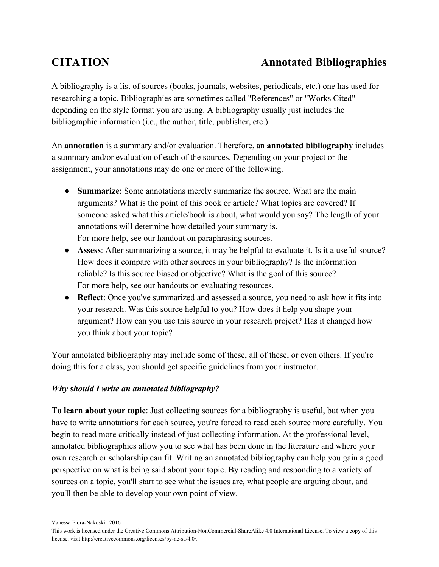# **CITATION Annotated Bibliographies**

A bibliography is a list of sources (books, journals, websites, periodicals, etc.) one has used for researching a topic. Bibliographies are sometimes called "References" or "Works Cited" depending on the style format you are using. A bibliography usually just includes the bibliographic information (i.e., the author, title, publisher, etc.).

An **annotation** is a summary and/or evaluation. Therefore, an **annotated bibliography** includes a summary and/or evaluation of each of the sources. Depending on your project or the assignment, your annotations may do one or more of the following.

- **Summarize**: Some annotations merely summarize the source. What are the main arguments? What is the point of this book or article? What topics are covered? If someone asked what this article/book is about, what would you say? The length of your annotations will determine how detailed your summary is. For more help, see our handout on [paraphrasing](http://owl.english.purdue.edu/owl/resource/563/02/) sources.
- **Assess**: After summarizing a source, it may be helpful to evaluate it. Is it a useful source? How does it compare with other sources in your bibliography? Is the information reliable? Is this source biased or objective? What is the goal of this source? For more help, see our handouts on [evaluating resources.](http://owl.english.purdue.edu/owl/resource/553/03/)
- **Reflect**: Once you've summarized and assessed a source, you need to ask how it fits into your research. Was this source helpful to you? How does it help you shape your argument? How can you use this source in your research project? Has it changed how you think about your topic?

Your annotated bibliography may include some of these, all of these, or even others. If you're doing this for a class, you should get specific guidelines from your instructor.

# *Why should I write an annotated bibliography?*

**To learn about your topic**: Just collecting sources for a bibliography is useful, but when you have to write annotations for each source, you're forced to read each source more carefully. You begin to read more critically instead of just collecting information. At the professional level, annotated bibliographies allow you to see what has been done in the literature and where your own research or scholarship can fit. Writing an annotated bibliography can help you gain a good perspective on what is being said about your topic. By reading and responding to a variety of sources on a topic, you'll start to see what the issues are, what people are arguing about, and you'll then be able to develop your own point of view.